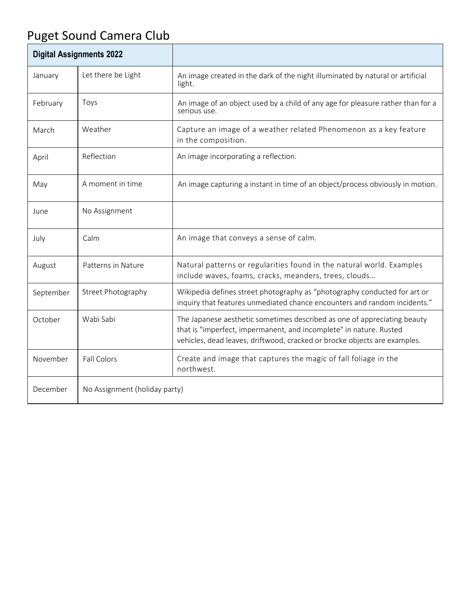## Puget Sound Camera Club

| <b>Digital Assignments 2022</b> |                               |                                                                                                                                                                                                                             |
|---------------------------------|-------------------------------|-----------------------------------------------------------------------------------------------------------------------------------------------------------------------------------------------------------------------------|
| January                         | Let there be Light            | An image created in the dark of the night illuminated by natural or artificial<br>light.                                                                                                                                    |
| February                        | Toys                          | An image of an object used by a child of any age for pleasure rather than for a<br>serious use.                                                                                                                             |
| March                           | Weather                       | Capture an image of a weather related Phenomenon as a key feature<br>in the composition.                                                                                                                                    |
| April                           | Reflection                    | An image incorporating a reflection.                                                                                                                                                                                        |
| May                             | A moment in time              | An image capturing a instant in time of an object/process obviously in motion.                                                                                                                                              |
| June                            | No Assignment                 |                                                                                                                                                                                                                             |
| July                            | Calm                          | An image that conveys a sense of calm.                                                                                                                                                                                      |
| August                          | Patterns in Nature            | Natural patterns or regularities found in the natural world. Examples<br>include waves, foams, cracks, meanders, trees, clouds                                                                                              |
| September                       | Street Photography            | Wikipedia defines street photography as "photography conducted for art or<br>inquiry that features unmediated chance encounters and random incidents."                                                                      |
| October                         | Wabi Sabi                     | The Japanese aesthetic sometimes described as one of appreciating beauty<br>that is "imperfect, impermanent, and incomplete" in nature. Rusted<br>vehicles, dead leaves, driftwood, cracked or brocke objects are examples. |
| November                        | <b>Fall Colors</b>            | Create and image that captures the magic of fall foliage in the<br>northwest.                                                                                                                                               |
| December                        | No Assignment (holiday party) |                                                                                                                                                                                                                             |